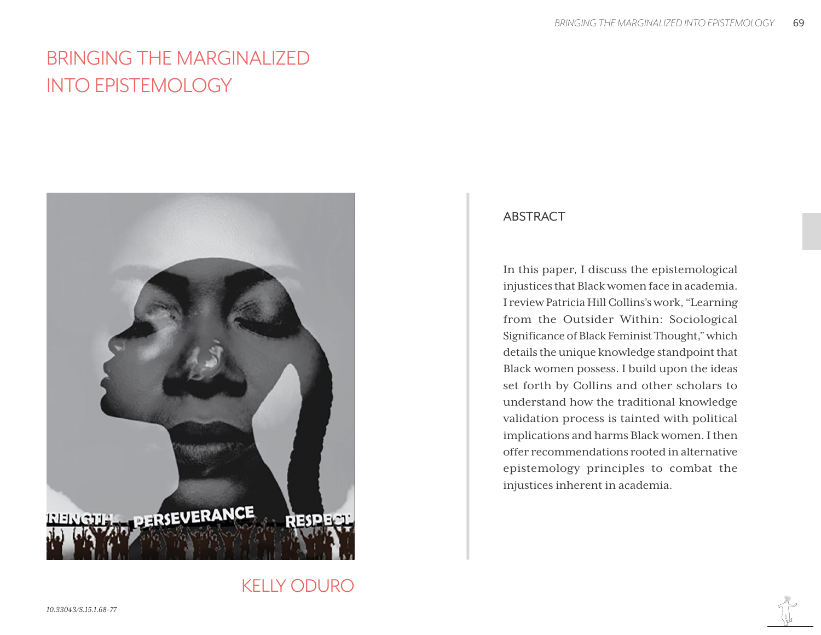# BRINGING THE MARGINALIZED INTO EPISTEMOLOGY



## ABSTRACT

In this paper, I discuss the epistemological injustices that Black women face in academia. I review Patricia Hill Collins's work, "Learning from the Outsider Within: Sociological Significance of Black Feminist Thought," which details the unique knowledge standpoint that Black women possess. I build upon the ideas set forth by Collins and other scholars to understand how the traditional knowledge validation process is tainted with political implications and harms Black women. I then offer recommendations rooted in alternative epistemology principles to combat the injustices inherent in academia.

KELLY ODURO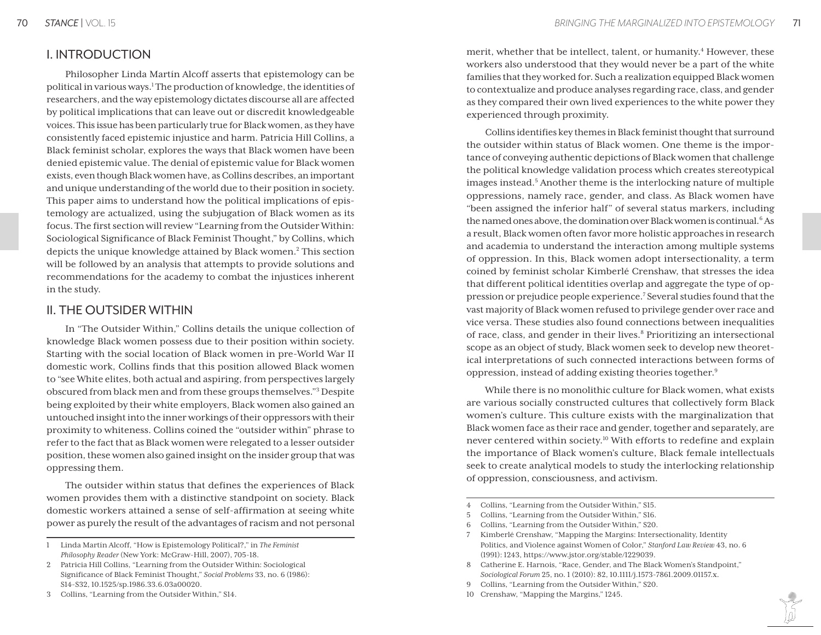## I. INTRODUCTION

Philosopher Linda Martín Alcoff asserts that epistemology can be political in various ways.<sup>1</sup> The production of knowledge, the identities of researchers, and the way epistemology dictates discourse all are affected by political implications that can leave out or discredit knowledgeable voices. This issue has been particularly true for Black women, as they have consistently faced epistemic injustice and harm. Patricia Hill Collins, a Black feminist scholar, explores the ways that Black women have been denied epistemic value. The denial of epistemic value for Black women exists, even though Black women have, as Collins describes, an important and unique understanding of the world due to their position in society. This paper aims to understand how the political implications of epistemology are actualized, using the subjugation of Black women as its focus. The first section will review "Learning from the Outsider Within: Sociological Significance of Black Feminist Thought," by Collins, which depicts the unique knowledge attained by Black women.<sup>2</sup> This section will be followed by an analysis that attempts to provide solutions and recommendations for the academy to combat the injustices inherent in the study.

# II. THE OUTSIDER WITHIN

In "The Outsider Within," Collins details the unique collection of knowledge Black women possess due to their position within society. Starting with the social location of Black women in pre-World War II domestic work, Collins finds that this position allowed Black women to "see White elites, both actual and aspiring, from perspectives largely obscured from black men and from these groups themselves."3 Despite being exploited by their white employers, Black women also gained an untouched insight into the inner workings of their oppressors with their proximity to whiteness. Collins coined the "outsider within" phrase to refer to the fact that as Black women were relegated to a lesser outsider position, these women also gained insight on the insider group that was oppressing them.

The outsider within status that defines the experiences of Black women provides them with a distinctive standpoint on society. Black domestic workers attained a sense of self-affirmation at seeing white power as purely the result of the advantages of racism and not personal

merit, whether that be intellect, talent, or humanity.<sup>4</sup> However, these workers also understood that they would never be a part of the white families that they worked for. Such a realization equipped Black women to contextualize and produce analyses regarding race, class, and gender as they compared their own lived experiences to the white power they experienced through proximity.

Collins identifies key themes in Black feminist thought that surround the outsider within status of Black women. One theme is the importance of conveying authentic depictions of Black women that challenge the political knowledge validation process which creates stereotypical images instead.<sup>5</sup> Another theme is the interlocking nature of multiple oppressions, namely race, gender, and class. As Black women have "been assigned the inferior half" of several status markers, including the named ones above, the domination over Black women is continual.<sup>6</sup> As a result, Black women often favor more holistic approaches in research and academia to understand the interaction among multiple systems of oppression. In this, Black women adopt intersectionality, a term coined by feminist scholar Kimberlé Crenshaw, that stresses the idea that different political identities overlap and aggregate the type of oppression or prejudice people experience.<sup>7</sup> Several studies found that the vast majority of Black women refused to privilege gender over race and vice versa. These studies also found connections between inequalities of race, class, and gender in their lives.<sup>8</sup> Prioritizing an intersectional scope as an object of study, Black women seek to develop new theoretical interpretations of such connected interactions between forms of oppression, instead of adding existing theories together.9

While there is no monolithic culture for Black women, what exists are various socially constructed cultures that collectively form Black women's culture. This culture exists with the marginalization that Black women face as their race and gender, together and separately, are never centered within society.<sup>10</sup> With efforts to redefine and explain the importance of Black women's culture, Black female intellectuals seek to create analytical models to study the interlocking relationship of oppression, consciousness, and activism.

- 4 Collins, "Learning from the Outsider Within," S15.
- 5 Collins, "Learning from the Outsider Within," S16.
- 6 Collins, "Learning from the Outsider Within," S20.
- 7 Kimberlé Crenshaw, "Mapping the Margins: Intersectionality, Identity Politics, and Violence against Women of Color," *Stanford Law Review* 43, no. 6 (1991): 1243, https://www.jstor.org/stable/1229039.
- 8 Catherine E. Harnois, "Race, Gender, and The Black Women's Standpoint," *Sociological Forum* 25, no. 1 (2010): 82, 10.1111/j.1573-7861.2009.01157.x.
- 9 Collins, "Learning from the Outsider Within," S20.
- 10 Crenshaw, "Mapping the Margins," 1245.

<sup>1</sup> Linda Martín Alcoff, "How is Epistemology Political?," in *The Feminist Philosophy Reader* (New York: McGraw-Hill, 2007), 705-18.

<sup>2</sup> Patricia Hill Collins, "Learning from the Outsider Within: Sociological Significance of Black Feminist Thought," *Social Problems* 33, no. 6 (1986): S14-S32, 10.1525/sp.1986.33.6.03a00020.

<sup>3</sup> Collins, "Learning from the Outsider Within," S14.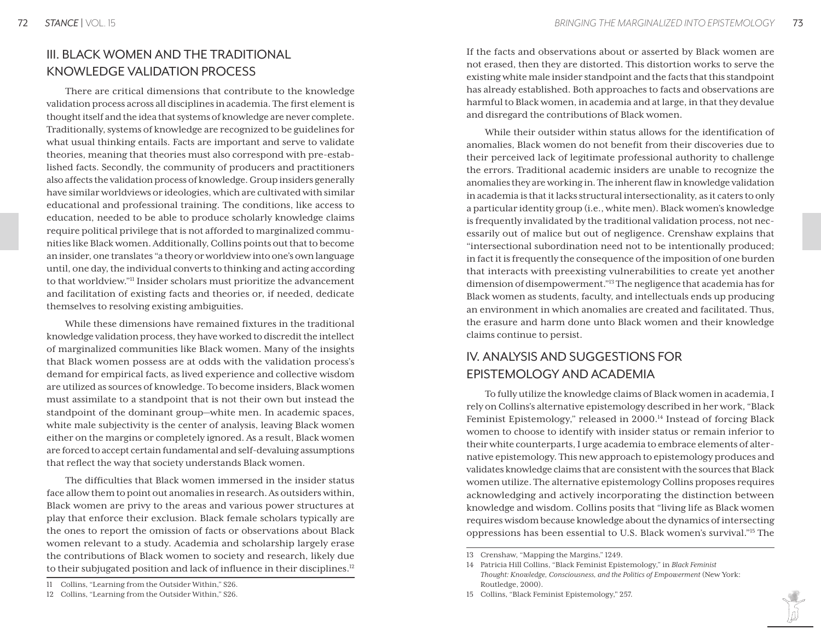# III. BLACK WOMEN AND THE TRADITIONAL KNOWLEDGE VALIDATION PROCESS

There are critical dimensions that contribute to the knowledge validation process across all disciplines in academia. The first element is thought itself and the idea that systems of knowledge are never complete. Traditionally, systems of knowledge are recognized to be guidelines for what usual thinking entails. Facts are important and serve to validate theories, meaning that theories must also correspond with pre-established facts. Secondly, the community of producers and practitioners also affects the validation process of knowledge. Group insiders generally have similar worldviews or ideologies, which are cultivated with similar educational and professional training. The conditions, like access to education, needed to be able to produce scholarly knowledge claims require political privilege that is not afforded to marginalized communities like Black women. Additionally, Collins points out that to become an insider, one translates "a theory or worldview into one's own language until, one day, the individual converts to thinking and acting according to that worldview."11 Insider scholars must prioritize the advancement and facilitation of existing facts and theories or, if needed, dedicate themselves to resolving existing ambiguities.

While these dimensions have remained fixtures in the traditional knowledge validation process, they have worked to discredit the intellect of marginalized communities like Black women. Many of the insights that Black women possess are at odds with the validation process's demand for empirical facts, as lived experience and collective wisdom are utilized as sources of knowledge. To become insiders, Black women must assimilate to a standpoint that is not their own but instead the standpoint of the dominant group—white men. In academic spaces, white male subjectivity is the center of analysis, leaving Black women either on the margins or completely ignored. As a result, Black women are forced to accept certain fundamental and self-devaluing assumptions that reflect the way that society understands Black women.

The difficulties that Black women immersed in the insider status face allow them to point out anomalies in research. As outsiders within, Black women are privy to the areas and various power structures at play that enforce their exclusion. Black female scholars typically are the ones to report the omission of facts or observations about Black women relevant to a study. Academia and scholarship largely erase the contributions of Black women to society and research, likely due to their subjugated position and lack of influence in their disciplines.<sup>12</sup>

If the facts and observations about or asserted by Black women are not erased, then they are distorted. This distortion works to serve the existing white male insider standpoint and the facts that this standpoint has already established. Both approaches to facts and observations are harmful to Black women, in academia and at large, in that they devalue and disregard the contributions of Black women.

While their outsider within status allows for the identification of anomalies, Black women do not benefit from their discoveries due to their perceived lack of legitimate professional authority to challenge the errors. Traditional academic insiders are unable to recognize the anomalies they are working in. The inherent flaw in knowledge validation in academia is that it lacks structural intersectionality, as it caters to only a particular identity group (i.e., white men). Black women's knowledge is frequently invalidated by the traditional validation process, not necessarily out of malice but out of negligence. Crenshaw explains that "intersectional subordination need not to be intentionally produced; in fact it is frequently the consequence of the imposition of one burden that interacts with preexisting vulnerabilities to create yet another dimension of disempowerment."13 The negligence that academia has for Black women as students, faculty, and intellectuals ends up producing an environment in which anomalies are created and facilitated. Thus, the erasure and harm done unto Black women and their knowledge claims continue to persist.

# IV. ANALYSIS AND SUGGESTIONS FOR EPISTEMOLOGY AND ACADEMIA

To fully utilize the knowledge claims of Black women in academia, I rely on Collins's alternative epistemology described in her work, "Black Feminist Epistemology," released in 2000.<sup>14</sup> Instead of forcing Black women to choose to identify with insider status or remain inferior to their white counterparts, I urge academia to embrace elements of alternative epistemology. This new approach to epistemology produces and validates knowledge claims that are consistent with the sources that Black women utilize. The alternative epistemology Collins proposes requires acknowledging and actively incorporating the distinction between knowledge and wisdom. Collins posits that "living life as Black women requires wisdom because knowledge about the dynamics of intersecting oppressions has been essential to U.S. Black women's survival."15 The

<sup>11</sup> Collins, "Learning from the Outsider Within," S26.

<sup>12</sup> Collins, "Learning from the Outsider Within," S26.

<sup>13</sup> Crenshaw, "Mapping the Margins," 1249.

<sup>14</sup> Patricia Hill Collins, "Black Feminist Epistemology," in *Black Feminist Thought: Knowledge, Consciousness, and the Politics of Empowerment* (New York: Routledge, 2000).

<sup>15</sup> Collins, "Black Feminist Epistemology," 257.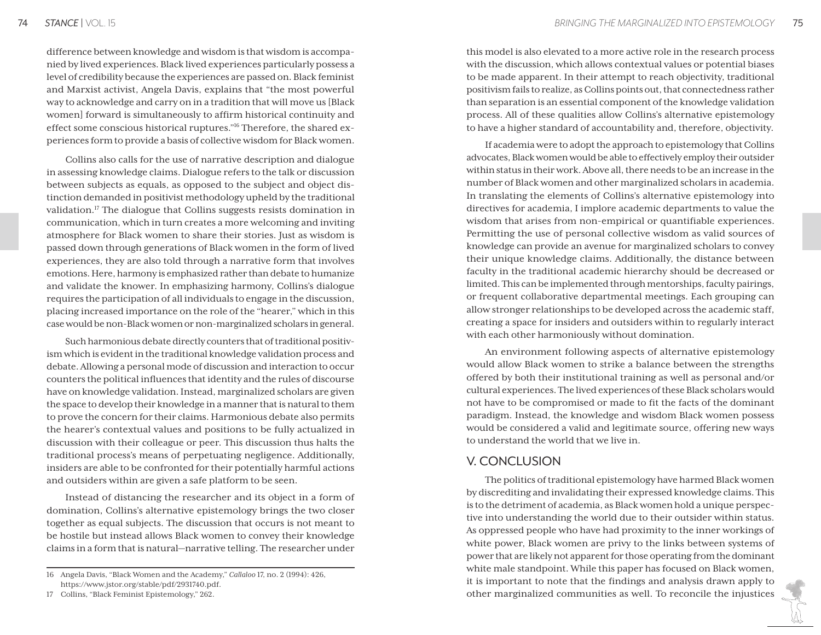difference between knowledge and wisdom is that wisdom is accompanied by lived experiences. Black lived experiences particularly possess a level of credibility because the experiences are passed on. Black feminist and Marxist activist, Angela Davis, explains that "the most powerful way to acknowledge and carry on in a tradition that will move us [Black women] forward is simultaneously to affirm historical continuity and effect some conscious historical ruptures."16 Therefore, the shared experiences form to provide a basis of collective wisdom for Black women.

Collins also calls for the use of narrative description and dialogue in assessing knowledge claims. Dialogue refers to the talk or discussion between subjects as equals, as opposed to the subject and object distinction demanded in positivist methodology upheld by the traditional validation.17 The dialogue that Collins suggests resists domination in communication, which in turn creates a more welcoming and inviting atmosphere for Black women to share their stories. Just as wisdom is passed down through generations of Black women in the form of lived experiences, they are also told through a narrative form that involves emotions. Here, harmony is emphasized rather than debate to humanize and validate the knower. In emphasizing harmony, Collins's dialogue requires the participation of all individuals to engage in the discussion, placing increased importance on the role of the "hearer," which in this case would be non-Black women or non-marginalized scholars in general.

Such harmonious debate directly counters that of traditional positivism which is evident in the traditional knowledge validation process and debate. Allowing a personal mode of discussion and interaction to occur counters the political influences that identity and the rules of discourse have on knowledge validation. Instead, marginalized scholars are given the space to develop their knowledge in a manner that is natural to them to prove the concern for their claims. Harmonious debate also permits the hearer's contextual values and positions to be fully actualized in discussion with their colleague or peer. This discussion thus halts the traditional process's means of perpetuating negligence. Additionally, insiders are able to be confronted for their potentially harmful actions and outsiders within are given a safe platform to be seen.

Instead of distancing the researcher and its object in a form of domination, Collins's alternative epistemology brings the two closer together as equal subjects. The discussion that occurs is not meant to be hostile but instead allows Black women to convey their knowledge claims in a form that is natural—narrative telling. The researcher under

this model is also elevated to a more active role in the research process with the discussion, which allows contextual values or potential biases to be made apparent. In their attempt to reach objectivity, traditional positivism fails to realize, as Collins points out, that connectedness rather than separation is an essential component of the knowledge validation process. All of these qualities allow Collins's alternative epistemology to have a higher standard of accountability and, therefore, objectivity.

If academia were to adopt the approach to epistemology that Collins advocates, Black women would be able to effectively employ their outsider within status in their work. Above all, there needs to be an increase in the number of Black women and other marginalized scholars in academia. In translating the elements of Collins's alternative epistemology into directives for academia, I implore academic departments to value the wisdom that arises from non-empirical or quantifiable experiences. Permitting the use of personal collective wisdom as valid sources of knowledge can provide an avenue for marginalized scholars to convey their unique knowledge claims. Additionally, the distance between faculty in the traditional academic hierarchy should be decreased or limited. This can be implemented through mentorships, faculty pairings, or frequent collaborative departmental meetings. Each grouping can allow stronger relationships to be developed across the academic staff, creating a space for insiders and outsiders within to regularly interact with each other harmoniously without domination.

An environment following aspects of alternative epistemology would allow Black women to strike a balance between the strengths offered by both their institutional training as well as personal and/or cultural experiences. The lived experiences of these Black scholars would not have to be compromised or made to fit the facts of the dominant paradigm. Instead, the knowledge and wisdom Black women possess would be considered a valid and legitimate source, offering new ways to understand the world that we live in.

#### V. CONCLUSION

The politics of traditional epistemology have harmed Black women by discrediting and invalidating their expressed knowledge claims. This is to the detriment of academia, as Black women hold a unique perspective into understanding the world due to their outsider within status. As oppressed people who have had proximity to the inner workings of white power, Black women are privy to the links between systems of power that are likely not apparent for those operating from the dominant white male standpoint. While this paper has focused on Black women, it is important to note that the findings and analysis drawn apply to other marginalized communities as well. To reconcile the injustices

<sup>16</sup> Angela Davis, "Black Women and the Academy," *Callaloo* 17, no. 2 (1994): 426, https://www.jstor.org/stable/pdf/2931740.pdf.

<sup>17</sup> Collins, "Black Feminist Epistemology," 262.